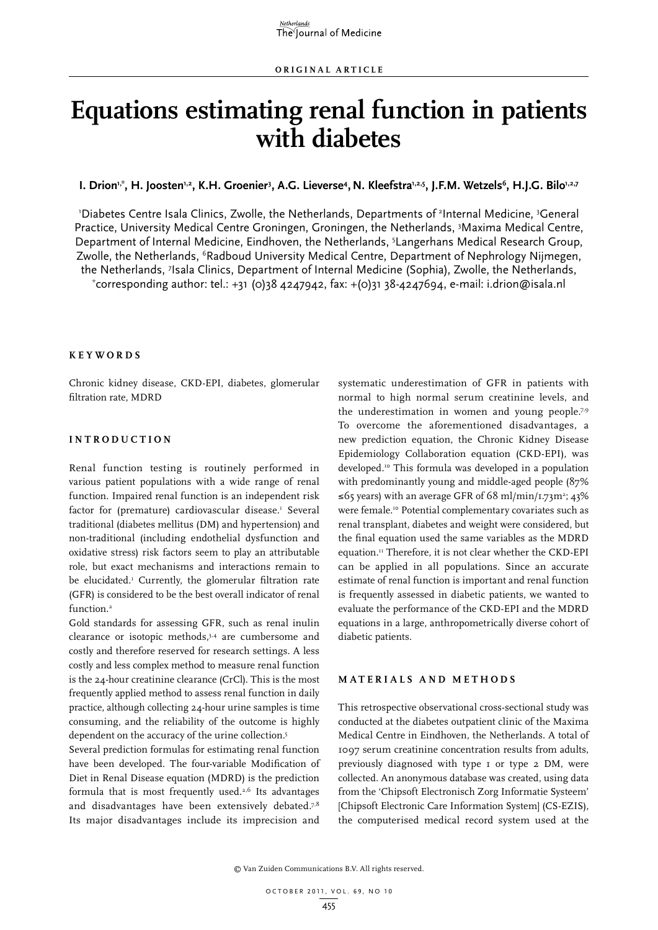# **Equations estimating renal function in patients with diabetes**

**l. Drion''<sup>\*</sup>, H. Joosten'<sup>,2</sup>, K.H. Groenier<sup>3</sup>, A.G. Lieverse<sup>4</sup>, N. Kleefstra'<sup>,2,5</sup>, J.F.M. Wetzels<sup>6</sup>, H.J.G. Bilo'<sup>,2,7</sup>** 

'Diabetes Centre Isala Clinics, Zwolle, the Netherlands, Departments of <sup>2</sup>Internal Medicine, <sup>3</sup>General Practice, University Medical Centre Groningen, Groningen, the Netherlands, <sup>3</sup>Maxima Medical Centre, Department of Internal Medicine, Eindhoven, the Netherlands, <sup>5</sup>Langerhans Medical Research Group, Zwolle, the Netherlands, <sup>6</sup>Radboud University Medical Centre, Department of Nephrology Nijmegen, the Netherlands, <sup>7</sup>Isala Clinics, Department of Internal Medicine (Sophia), Zwolle, the Netherlands,<br>\*corresponding author: tel : +21 (0)28 4247042, fax: +(0)21 28-4247604, e-mail: i drion@isala nl corresponding author: tel.: +31 (0)38 4247942, fax: +(0)31 38-4247694, e-mail: i.drion@isala.nl

#### **K e y w o r d s**

Chronic kidney disease, CKD-EPI, diabetes, glomerular filtration rate, MDRD

# **I n t r o d uc t i o n**

Renal function testing is routinely performed in various patient populations with a wide range of renal function. Impaired renal function is an independent risk factor for (premature) cardiovascular disease.<sup>1</sup> Several traditional (diabetes mellitus (DM) and hypertension) and non-traditional (including endothelial dysfunction and oxidative stress) risk factors seem to play an attributable role, but exact mechanisms and interactions remain to be elucidated.1 Currently, the glomerular filtration rate (GFR) is considered to be the best overall indicator of renal function.<sup>2</sup>

Gold standards for assessing GFR, such as renal inulin clearance or isotopic methods,3,4 are cumbersome and costly and therefore reserved for research settings. A less costly and less complex method to measure renal function is the 24-hour creatinine clearance (CrCl). This is the most frequently applied method to assess renal function in daily practice, although collecting 24-hour urine samples is time consuming, and the reliability of the outcome is highly dependent on the accuracy of the urine collection.<sup>5</sup>

Several prediction formulas for estimating renal function have been developed. The four-variable Modification of Diet in Renal Disease equation (MDRD) is the prediction formula that is most frequently used.2,6 Its advantages and disadvantages have been extensively debated.<sup>7,8</sup> Its major disadvantages include its imprecision and

systematic underestimation of GFR in patients with normal to high normal serum creatinine levels, and the underestimation in women and young people.7,9 To overcome the aforementioned disadvantages, a new prediction equation, the Chronic Kidney Disease Epidemiology Collaboration equation (CKD-EPI), was developed.10 This formula was developed in a population with predominantly young and middle-aged people (87% ≤65 years) with an average GFR of 68 ml/min/1.73m<sup>2</sup>; 43% were female.<sup>10</sup> Potential complementary covariates such as renal transplant, diabetes and weight were considered, but the final equation used the same variables as the MDRD equation.11 Therefore, it is not clear whether the CKD-EPI can be applied in all populations. Since an accurate estimate of renal function is important and renal function is frequently assessed in diabetic patients, we wanted to evaluate the performance of the CKD-EPI and the MDRD equations in a large, anthropometrically diverse cohort of diabetic patients.

## **M a t e r i a l s a n d m e t h o d s**

This retrospective observational cross-sectional study was conducted at the diabetes outpatient clinic of the Maxima Medical Centre in Eindhoven, the Netherlands. A total of 1097 serum creatinine concentration results from adults, previously diagnosed with type 1 or type 2 DM, were collected. An anonymous database was created, using data from the 'Chipsoft Electronisch Zorg Informatie Systeem' [Chipsoft Electronic Care Information System] (CS-EZIS), the computerised medical record system used at the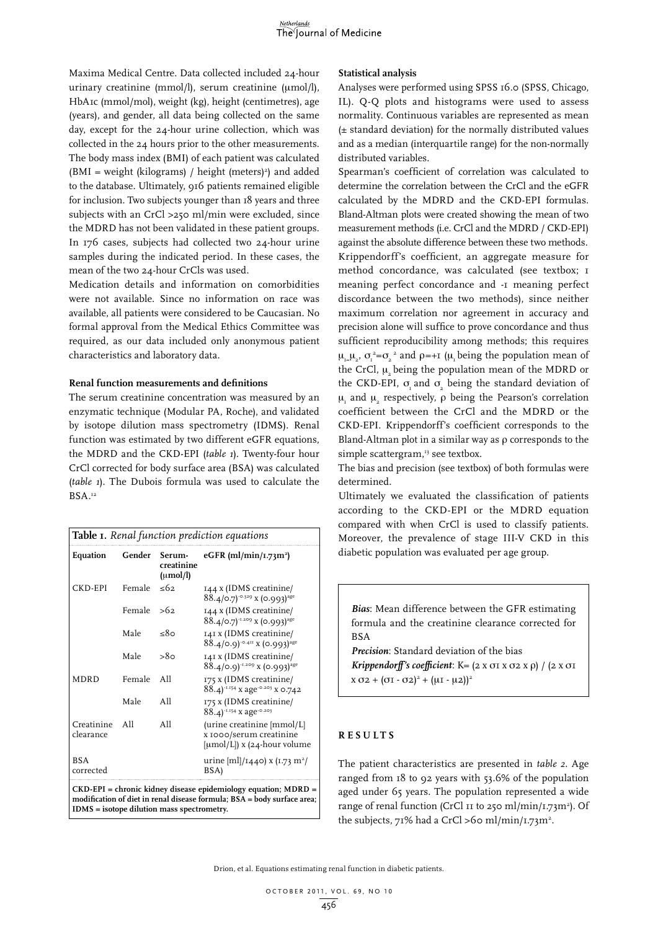Maxima Medical Centre. Data collected included 24-hour urinary creatinine (mmol/l), serum creatinine (μmol/l), HbA1c (mmol/mol), weight (kg), height (centimetres), age (years), and gender, all data being collected on the same day, except for the 24-hour urine collection, which was collected in the 24 hours prior to the other measurements. The body mass index (BMI) of each patient was calculated  $(BMI = weight (kilograms) / height (meters)^{2})$  and added to the database. Ultimately, 916 patients remained eligible for inclusion. Two subjects younger than 18 years and three subjects with an CrCl >250 ml/min were excluded, since the MDRD has not been validated in these patient groups. In 176 cases, subjects had collected two 24-hour urine samples during the indicated period. In these cases, the mean of the two 24-hour CrCls was used.

Medication details and information on comorbidities were not available. Since no information on race was available, all patients were considered to be Caucasian. No formal approval from the Medical Ethics Committee was required, as our data included only anonymous patient characteristics and laboratory data.

#### **Renal function measurements and definitions**

The serum creatinine concentration was measured by an enzymatic technique (Modular PA, Roche), and validated by isotope dilution mass spectrometry (IDMS). Renal function was estimated by two different eGFR equations, the MDRD and the CKD-EPI (*table 1*). Twenty-four hour CrCl corrected for body surface area (BSA) was calculated (*table 1*). The Dubois formula was used to calculate the BSA.<sup>12</sup>

| <b>Table 1.</b> Renal function prediction equations |              |                                              |                                                                                       |  |  |  |
|-----------------------------------------------------|--------------|----------------------------------------------|---------------------------------------------------------------------------------------|--|--|--|
| Equation                                            | Gender       | Serum-<br>creatinine<br>$(\mu \text{mol/l})$ | $eGFR$ (ml/min/1.73m <sup>2</sup> )                                                   |  |  |  |
| CKD-EPI                                             | Female       | $\leq 62$                                    | 144 x (IDMS creatinine/<br>$88.4$ /0.7) <sup>-0.329</sup> x (0.993) <sup>age</sup>    |  |  |  |
|                                                     | Female $>62$ |                                              | 144 x (IDMS creatinine/<br>$88.4/0.7$ <sup>1.209</sup> X (0.993) <sup>age</sup>       |  |  |  |
|                                                     | Male         | ہ8≃                                          | 141 x (IDMS creatinine/<br>$88.4$ /0.9) <sup>-0.411</sup> x (0.993) <sup>age</sup>    |  |  |  |
|                                                     | Male         | 8٥-                                          | 141 x (IDMS creatinine/<br>$88.4/0.9$ <sup>1.209</sup> x (0.993) <sup>age</sup>       |  |  |  |
| <b>MDRD</b>                                         | Female       | A11                                          | 175 x (IDMS creatinine/<br>88.4) <sup>-1.154</sup> x age <sup>-0.203</sup> x 0.742    |  |  |  |
|                                                     | Male         | A11                                          | 175 x (IDMS creatinine/<br>88.4) 1.154 x age 0.203                                    |  |  |  |
| Creatinine<br>clearance                             | A11          | A11                                          | (urine creatinine [mmol/L]<br>x 1000/serum creatinine<br>$[µmol/L]$ x (24-hour volume |  |  |  |
| <b>BSA</b><br>corrected                             |              |                                              | urine [ml]/1440) x (1.73 m <sup>2</sup> /<br>BSA)                                     |  |  |  |
|                                                     |              |                                              | $CKD-EPI =$ chronic kidney disease epidemiology equation; $MDRD =$                    |  |  |  |

**modification of diet in renal disease formula; BSA = body surface area; IDMS = isotope dilution mass spectrometry.** 

#### **Statistical analysis**

Analyses were performed using SPSS 16.0 (SPSS, Chicago, IL). Q-Q plots and histograms were used to assess normality. Continuous variables are represented as mean (± standard deviation) for the normally distributed values and as a median (interquartile range) for the non-normally distributed variables.

Spearman's coefficient of correlation was calculated to determine the correlation between the CrCl and the eGFR calculated by the MDRD and the CKD-EPI formulas. Bland-Altman plots were created showing the mean of two measurement methods (i.e. CrCl and the MDRD / CKD-EPI) against the absolute difference between these two methods. Krippendorff's coefficient, an aggregate measure for method concordance, was calculated (see textbox; 1 meaning perfect concordance and -1 meaning perfect discordance between the two methods), since neither maximum correlation nor agreement in accuracy and precision alone will suffice to prove concordance and thus sufficient reproducibility among methods; this requires  $\mu_{I=1}^{\mu_{I=1}}$ ,  $\sigma_{I=1}^{\mu_{I=2}}$  and  $\rho=+1$  ( $\mu_{I}$  being the population mean of the CrCl,  $\mu_{\alpha}$  being the population mean of the MDRD or the CKD-EPI,  $\sigma$ <sub>1</sub> and  $\sigma$ <sub>2</sub> being the standard deviation of  $\mu$ <sub>r</sub> and  $\mu$ <sub>2</sub> respectively,  $\rho$  being the Pearson's correlation coefficient between the CrCl and the MDRD or the CKD-EPI. Krippendorff's coefficient corresponds to the Bland-Altman plot in a similar way as  $\rho$  corresponds to the simple scattergram,<sup>13</sup> see textbox.

The bias and precision (see textbox) of both formulas were determined.

Ultimately we evaluated the classification of patients according to the CKD-EPI or the MDRD equation compared with when CrCl is used to classify patients. Moreover, the prevalence of stage III-V CKD in this diabetic population was evaluated per age group.

*Bias*: Mean difference between the GFR estimating formula and the creatinine clearance corrected for **BSA** 

*Precision*: Standard deviation of the bias

*Krippendorff's coefficient*: K=  $(2 \times \sigma1 \times \sigma2 \times \rho)$  /  $(2 \times \sigma1$  $x \sigma_2 + (\sigma_1 \cdot \sigma_2)^2 + (\mu_1 \cdot \mu_2)^2$ 

# **R e s u l t s**

The patient characteristics are presented in *table 2*. Age ranged from 18 to 92 years with 53.6% of the population aged under 65 years. The population represented a wide range of renal function (CrCl II to 250 ml/min/1.73m<sup>2</sup>). Of the subjects,  $71\%$  had a CrCl >60 ml/min/1.73m<sup>2</sup>.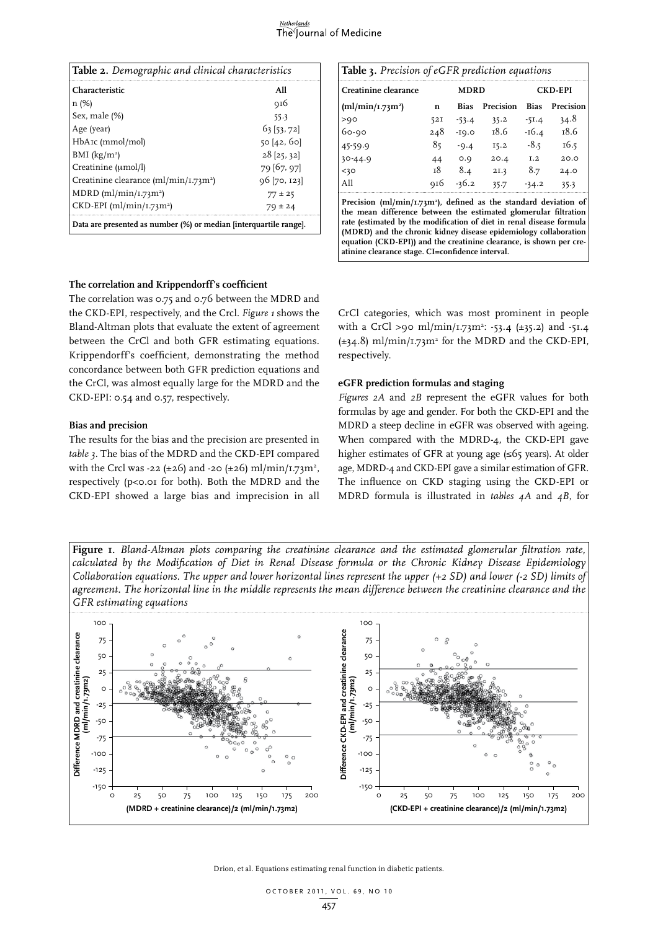# The Journal of Medicine

| <b>Table 2.</b> Demographic and clinical characteristics          |                |  |  |  |  |  |
|-------------------------------------------------------------------|----------------|--|--|--|--|--|
| <b>Characteristic</b>                                             | All            |  |  |  |  |  |
| n(%)                                                              | 916            |  |  |  |  |  |
| Sex, male (%)                                                     | 55.3           |  |  |  |  |  |
| Age (year)                                                        | 63 [53, 72]    |  |  |  |  |  |
| HbAIc (mmol/mol)                                                  | 50 [42, 60]    |  |  |  |  |  |
| BMI $(kg/m^2)$                                                    | $28$ [25, 32]  |  |  |  |  |  |
| Creatinine (umol/l)                                               | 79 [67, 97]    |  |  |  |  |  |
| Creatinine clearance $(ml/min/1.73m2)$                            | $96$ [70, 123] |  |  |  |  |  |
| MDRD (ml/min/ $1.73m^2$ )                                         | $77 \pm 25$    |  |  |  |  |  |
| $CKD$ -EPI (ml/min/ $I$ .73m <sup>2</sup> )                       | $79 \pm 24$    |  |  |  |  |  |
| Data are presented as number (%) or median [interquartile range]. |                |  |  |  |  |  |

| Table 3. Precision of eGFR prediction equations                                                                                                                                                                                                                                                                                                                                                                        |     |             |                |             |           |  |  |
|------------------------------------------------------------------------------------------------------------------------------------------------------------------------------------------------------------------------------------------------------------------------------------------------------------------------------------------------------------------------------------------------------------------------|-----|-------------|----------------|-------------|-----------|--|--|
| Creatinine clearance                                                                                                                                                                                                                                                                                                                                                                                                   |     | <b>MDRD</b> | <b>CKD-EPI</b> |             |           |  |  |
| $(ml/min/1.73m^2)$                                                                                                                                                                                                                                                                                                                                                                                                     | n   | Bias        | Precision      | <b>Bias</b> | Precision |  |  |
| >90                                                                                                                                                                                                                                                                                                                                                                                                                    | 52I | $-53.4$     | 35.2           | $-51.4$     | 34.8      |  |  |
| $60 - 90$                                                                                                                                                                                                                                                                                                                                                                                                              | 248 | $-19.0$     | 18.6           | -16.4       | 18.6      |  |  |
| 45-59.9                                                                                                                                                                                                                                                                                                                                                                                                                | 85  | $-9.4$      | 15.2           | $-8.5$      | 16.5      |  |  |
| $30 - 44.9$                                                                                                                                                                                                                                                                                                                                                                                                            | 44  | O.Q         | 20.4           | I.2         | 20.0      |  |  |
| $<$ 30                                                                                                                                                                                                                                                                                                                                                                                                                 | т8  | 8.4         | 2I.3           | 8.7         | 24.0      |  |  |
| A11                                                                                                                                                                                                                                                                                                                                                                                                                    | 916 | $-36.2$     | 35.7           | $-34.2$     | 35.3      |  |  |
| Precision (ml/min/1.73m <sup>2</sup> ), defined as the standard deviation of<br>the mean difference between the estimated glomerular filtration<br>rate (estimated by the modification of diet in renal disease formula<br>(MDRD) and the chronic kidney disease epidemiology collaboration<br>equation (CKD-EPI)) and the creatinine clearance, is shown per cre-<br>atinine clearance stage. CI=confidence interval. |     |             |                |             |           |  |  |

# **The correlation and Krippendorff's coefficient**

The correlation was 0.75 and 0.76 between the MDRD and the CKD-EPI, respectively, and the Crcl. *Figure 1* shows the Bland-Altman plots that evaluate the extent of agreement between the CrCl and both GFR estimating equations. Krippendorff's coefficient, demonstrating the method concordance between both GFR prediction equations and the CrCl, was almost equally large for the MDRD and the CKD-EPI: 0.54 and 0.57, respectively.

## **Bias and precision**

The results for the bias and the precision are presented in *table 3*. The bias of the MDRD and the CKD-EPI compared with the Crcl was -22 (±26) and -20 (±26) ml/min/1.73m<sup>2</sup>, respectively (p<0.01 for both). Both the MDRD and the CKD-EPI showed a large bias and imprecision in all

CrCl categories, which was most prominent in people with a CrCl >90 ml/min/1.73m<sup>2</sup>: -53.4 (±35.2) and -51.4  $(\pm 34.8)$  ml/min/1.73m<sup>2</sup> for the MDRD and the CKD-EPI, respectively.

#### **eGFR prediction formulas and staging**

*Figures 2A* and *2B* represent the eGFR values for both formulas by age and gender. For both the CKD-EPI and the MDRD a steep decline in eGFR was observed with ageing. When compared with the MDRD-4, the CKD-EPI gave higher estimates of GFR at young age (≤65 years). At older age, MDRD-4 and CKD-EPI gave a similar estimation of GFR. The influence on CKD staging using the CKD-EPI or MDRD formula is illustrated in *tables 4A* and *4B*, for

**Figure 1.** *Bland-Altman plots comparing the creatinine clearance and the estimated glomerular filtration rate, calculated by the Modification of Diet in Renal Disease formula or the Chronic Kidney Disease Epidemiology Collaboration equations. The upper and lower horizontal lines represent the upper (+2 SD) and lower (-2 SD) limits of agreement. The horizontal line in the middle represents the mean difference between the creatinine clearance and the GFR estimating equations*

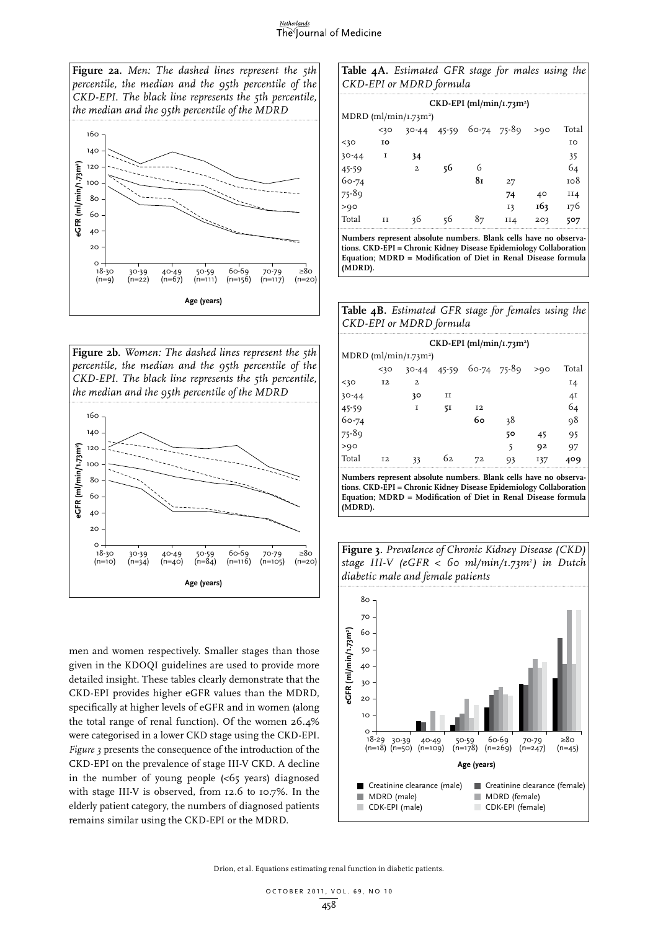#### Netherlands The Journal of Medicine



**Figure 2b.** *Women: The dashed lines represent the 5th percentile, the median and the 95th percentile of the CKD-EPI. The black line represents the 5th percentile, the median and the 95th percentile of the MDRD* 



men and women respectively. Smaller stages than those given in the KDOQI guidelines are used to provide more detailed insight. These tables clearly demonstrate that the CKD-EPI provides higher eGFR values than the MDRD, specifically at higher levels of eGFR and in women (along the total range of renal function). Of the women 26.4% were categorised in a lower CKD stage using the CKD-EPI. *Figure 3* presents the consequence of the introduction of the CKD-EPI on the prevalence of stage III-V CKD. A decline in the number of young people  $\langle \langle 65 \rangle$  years) diagnosed with stage III-V is observed, from 12.6 to 10.7%. In the elderly patient category, the numbers of diagnosed patients remains similar using the CKD-EPI or the MDRD.

|  | <b>Table 4A.</b> Estimated GFR stage for males using the |  |  |  |
|--|----------------------------------------------------------|--|--|--|
|  | CKD-EPI or MDRD formula                                  |  |  |  |

| $CKD$ -EPI (ml/min/1.73m <sup>2</sup> ) |         |                         |           |             |     |                 |       |  |
|-----------------------------------------|---------|-------------------------|-----------|-------------|-----|-----------------|-------|--|
| MDRD (ml/min/ $I.73m2$ )                |         |                         |           |             |     |                 |       |  |
|                                         | $<$ 30  | $30 - 44$               | $45 - 59$ | 60-74 75-89 |     | >Q <sub>O</sub> | Total |  |
| $<$ 30                                  | 10      |                         |           |             |     |                 | ΙO    |  |
| $30 - 44$                               | 1       | 34                      |           |             |     |                 | 35    |  |
| 45-59                                   |         | $\overline{\mathbf{c}}$ | 56        | 6           |     |                 | 64    |  |
| 60-74                                   |         |                         |           | 81          | 27  |                 | 108   |  |
| $75 - 89$                               |         |                         |           |             | 74  | 40              | II4   |  |
| >90                                     |         |                         |           |             | 13  | 163             | 176   |  |
| Total                                   | $_{II}$ | 36                      | 56        | 87          | II4 | 203             | 507   |  |

**Numbers represent absolute numbers. Blank cells have no observations. CKD-EPI = Chronic Kidney Disease Epidemiology Collaboration Equation; MDRD = Modification of Diet in Renal Disease formula (MDRD).**

| Table 4B. Estimated GFR stage for females using the |  |  |  |  |
|-----------------------------------------------------|--|--|--|--|
| CKD-EPI or MDRD formula                             |  |  |  |  |

| $CKD$ -EPI (ml/min/1.73m <sup>2</sup> ) |  |  |  |  |  |  |  |
|-----------------------------------------|--|--|--|--|--|--|--|
|                                         |  |  |  |  |  |  |  |
| Total<br>>90                            |  |  |  |  |  |  |  |
| $I_4$                                   |  |  |  |  |  |  |  |
| 41                                      |  |  |  |  |  |  |  |
| 64                                      |  |  |  |  |  |  |  |
| 98                                      |  |  |  |  |  |  |  |
| 95<br>45                                |  |  |  |  |  |  |  |
| 92<br>97                                |  |  |  |  |  |  |  |
| 137<br>409                              |  |  |  |  |  |  |  |
|                                         |  |  |  |  |  |  |  |

**Numbers represent absolute numbers. Blank cells have no observations. CKD-EPI = Chronic Kidney Disease Epidemiology Collaboration Equation; MDRD = Modification of Diet in Renal Disease formula (MDRD).**



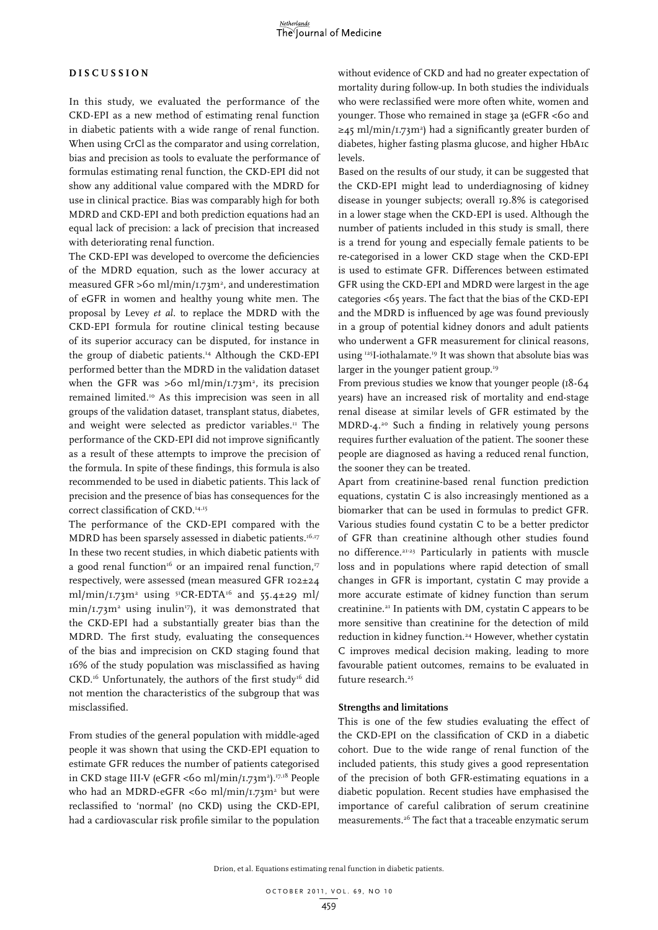# **D i s cu s s i o n**

In this study, we evaluated the performance of the CKD-EPI as a new method of estimating renal function in diabetic patients with a wide range of renal function. When using CrCl as the comparator and using correlation, bias and precision as tools to evaluate the performance of formulas estimating renal function, the CKD-EPI did not show any additional value compared with the MDRD for use in clinical practice. Bias was comparably high for both MDRD and CKD-EPI and both prediction equations had an equal lack of precision: a lack of precision that increased with deteriorating renal function.

The CKD-EPI was developed to overcome the deficiencies of the MDRD equation, such as the lower accuracy at measured GFR >60 ml/min/1.73m<sup>2</sup>, and underestimation of eGFR in women and healthy young white men. The proposal by Levey *et al.* to replace the MDRD with the CKD-EPI formula for routine clinical testing because of its superior accuracy can be disputed, for instance in the group of diabetic patients.14 Although the CKD-EPI performed better than the MDRD in the validation dataset when the GFR was  $>60 \text{ ml/min}/1.73 \text{ m}^2$ , its precision remained limited.10 As this imprecision was seen in all groups of the validation dataset, transplant status, diabetes, and weight were selected as predictor variables.<sup>11</sup> The performance of the CKD-EPI did not improve significantly as a result of these attempts to improve the precision of the formula. In spite of these findings, this formula is also recommended to be used in diabetic patients. This lack of precision and the presence of bias has consequences for the correct classification of CKD.<sup>14,15</sup>

The performance of the CKD-EPI compared with the MDRD has been sparsely assessed in diabetic patients.<sup>16,17</sup> In these two recent studies, in which diabetic patients with a good renal function<sup>16</sup> or an impaired renal function,<sup>17</sup> respectively, were assessed (mean measured GFR 102±24 ml/min/1.73m2 using 51CR-EDTA16 and 55.4±29 ml/  $min/1.73m^2$  using inulin<sup>17</sup>), it was demonstrated that the CKD-EPI had a substantially greater bias than the MDRD. The first study, evaluating the consequences of the bias and imprecision on CKD staging found that 16% of the study population was misclassified as having CKD.<sup>16</sup> Unfortunately, the authors of the first study<sup>16</sup> did not mention the characteristics of the subgroup that was misclassified.

From studies of the general population with middle-aged people it was shown that using the CKD-EPI equation to estimate GFR reduces the number of patients categorised in CKD stage III-V (eGFR <60 ml/min/1.73m<sup>2</sup>).<sup>17,18</sup> People who had an MDRD-eGFR <60 ml/min/1.73m<sup>2</sup> but were reclassified to 'normal' (no CKD) using the CKD-EPI, had a cardiovascular risk profile similar to the population

without evidence of CKD and had no greater expectation of mortality during follow-up. In both studies the individuals who were reclassified were more often white, women and younger. Those who remained in stage 3a (eGFR <60 and ≥45 ml/min/1.73m2 ) had a significantly greater burden of diabetes, higher fasting plasma glucose, and higher HbA1c levels.

Based on the results of our study, it can be suggested that the CKD-EPI might lead to underdiagnosing of kidney disease in younger subjects; overall 19.8% is categorised in a lower stage when the CKD-EPI is used. Although the number of patients included in this study is small, there is a trend for young and especially female patients to be re-categorised in a lower CKD stage when the CKD-EPI is used to estimate GFR. Differences between estimated GFR using the CKD-EPI and MDRD were largest in the age categories <65 years. The fact that the bias of the CKD-EPI and the MDRD is influenced by age was found previously in a group of potential kidney donors and adult patients who underwent a GFR measurement for clinical reasons, using 125I-iothalamate.19 It was shown that absolute bias was larger in the younger patient group.<sup>19</sup>

From previous studies we know that younger people (18-64 years) have an increased risk of mortality and end-stage renal disease at similar levels of GFR estimated by the MDRD-4.20 Such a finding in relatively young persons requires further evaluation of the patient. The sooner these people are diagnosed as having a reduced renal function, the sooner they can be treated.

Apart from creatinine-based renal function prediction equations, cystatin C is also increasingly mentioned as a biomarker that can be used in formulas to predict GFR. Various studies found cystatin C to be a better predictor of GFR than creatinine although other studies found no difference.21-23 Particularly in patients with muscle loss and in populations where rapid detection of small changes in GFR is important, cystatin C may provide a more accurate estimate of kidney function than serum creatinine.21 In patients with DM, cystatin C appears to be more sensitive than creatinine for the detection of mild reduction in kidney function.<sup>24</sup> However, whether cystatin C improves medical decision making, leading to more favourable patient outcomes, remains to be evaluated in future research.<sup>25</sup>

#### **Strengths and limitations**

This is one of the few studies evaluating the effect of the CKD-EPI on the classification of CKD in a diabetic cohort. Due to the wide range of renal function of the included patients, this study gives a good representation of the precision of both GFR-estimating equations in a diabetic population. Recent studies have emphasised the importance of careful calibration of serum creatinine measurements.26 The fact that a traceable enzymatic serum